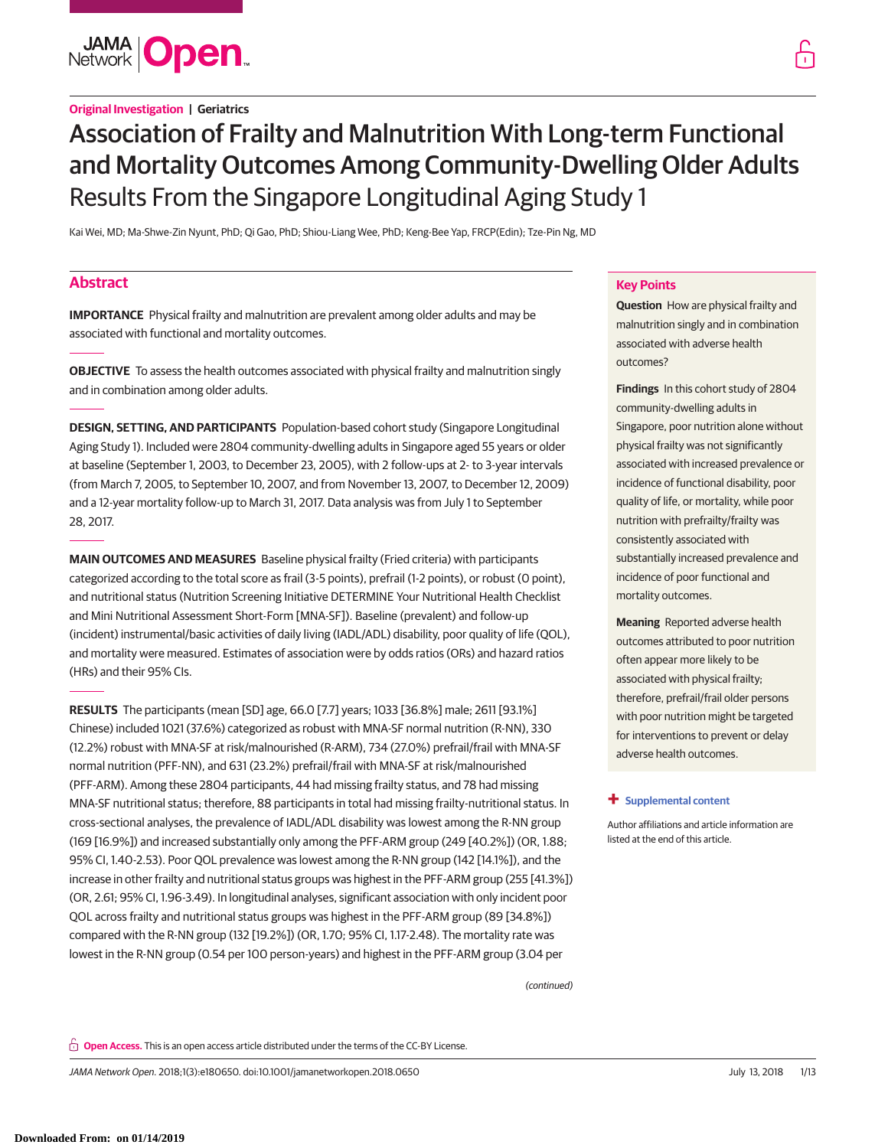

# **Original Investigation | Geriatrics**

# Association of Frailty and Malnutrition With Long-term Functional and Mortality Outcomes Among Community-Dwelling Older Adults Results From the Singapore Longitudinal Aging Study 1

Kai Wei, MD; Ma-Shwe-Zin Nyunt, PhD; Qi Gao, PhD; Shiou-Liang Wee, PhD; Keng-Bee Yap, FRCP(Edin); Tze-Pin Ng, MD

# **Abstract**

**IMPORTANCE** Physical frailty and malnutrition are prevalent among older adults and may be associated with functional and mortality outcomes.

**OBJECTIVE** To assess the health outcomes associated with physical frailty and malnutrition singly and in combination among older adults.

**DESIGN, SETTING, AND PARTICIPANTS** Population-based cohort study (Singapore Longitudinal Aging Study 1). Included were 2804 community-dwelling adults in Singapore aged 55 years or older at baseline (September 1, 2003, to December 23, 2005), with 2 follow-ups at 2- to 3-year intervals (from March 7, 2005, to September 10, 2007, and from November 13, 2007, to December 12, 2009) and a 12-year mortality follow-up to March 31, 2017. Data analysis was from July 1 to September 28, 2017.

**MAIN OUTCOMES AND MEASURES** Baseline physical frailty (Fried criteria) with participants categorized according to the total score as frail (3-5 points), prefrail (1-2 points), or robust (0 point), and nutritional status (Nutrition Screening Initiative DETERMINE Your Nutritional Health Checklist and Mini Nutritional Assessment Short-Form [MNA-SF]). Baseline (prevalent) and follow-up (incident) instrumental/basic activities of daily living (IADL/ADL) disability, poor quality of life (QOL), and mortality were measured. Estimates of association were by odds ratios (ORs) and hazard ratios (HRs) and their 95% CIs.

**RESULTS** The participants (mean [SD] age, 66.0 [7.7] years; 1033 [36.8%] male; 2611 [93.1%] Chinese) included 1021 (37.6%) categorized as robust with MNA-SF normal nutrition (R-NN), 330 (12.2%) robust with MNA-SF at risk/malnourished (R-ARM), 734 (27.0%) prefrail/frail with MNA-SF normal nutrition (PFF-NN), and 631 (23.2%) prefrail/frail with MNA-SF at risk/malnourished (PFF-ARM). Among these 2804 participants, 44 had missing frailty status, and 78 had missing MNA-SF nutritional status; therefore, 88 participants in total had missing frailty-nutritional status. In cross-sectional analyses, the prevalence of IADL/ADL disability was lowest among the R-NN group (169 [16.9%]) and increased substantially only among the PFF-ARM group (249 [40.2%]) (OR, 1.88; 95% CI, 1.40-2.53). Poor QOL prevalence was lowest among the R-NN group (142 [14.1%]), and the increase in other frailty and nutritional status groups was highest in the PFF-ARM group (255 [41.3%]) (OR, 2.61; 95% CI, 1.96-3.49). In longitudinal analyses, significant association with only incident poor QOL across frailty and nutritional status groups was highest in the PFF-ARM group (89 [34.8%]) compared with the R-NN group (132 [19.2%]) (OR, 1.70; 95% CI, 1.17-2.48). The mortality rate was lowest in the R-NN group (0.54 per 100 person-years) and highest in the PFF-ARM group (3.04 per

(continued)

### **Key Points**

**Question** How are physical frailty and malnutrition singly and in combination associated with adverse health outcomes?

**Findings** In this cohort study of 2804 community-dwelling adults in Singapore, poor nutrition alone without physical frailty was not significantly associated with increased prevalence or incidence of functional disability, poor quality of life, or mortality, while poor nutrition with prefrailty/frailty was consistently associated with substantially increased prevalence and incidence of poor functional and mortality outcomes.

**Meaning** Reported adverse health outcomes attributed to poor nutrition often appear more likely to be associated with physical frailty; therefore, prefrail/frail older persons with poor nutrition might be targeted for interventions to prevent or delay adverse health outcomes.

### **+ [Supplemental content](https://jama.jamanetwork.com/article.aspx?doi=10.1001/jamanetworkopen.2018.0650&utm_campaign=articlePDF%26utm_medium=articlePDFlink%26utm_source=articlePDF%26utm_content=jamanetworkopen.2018.0650)**

Author affiliations and article information are listed at the end of this article.

**Open Access.** This is an open access article distributed under the terms of the CC-BY License.

JAMA Network Open. 2018;1(3):e180650. doi:10.1001/jamanetworkopen.2018.0650 July 13, 2018 1/13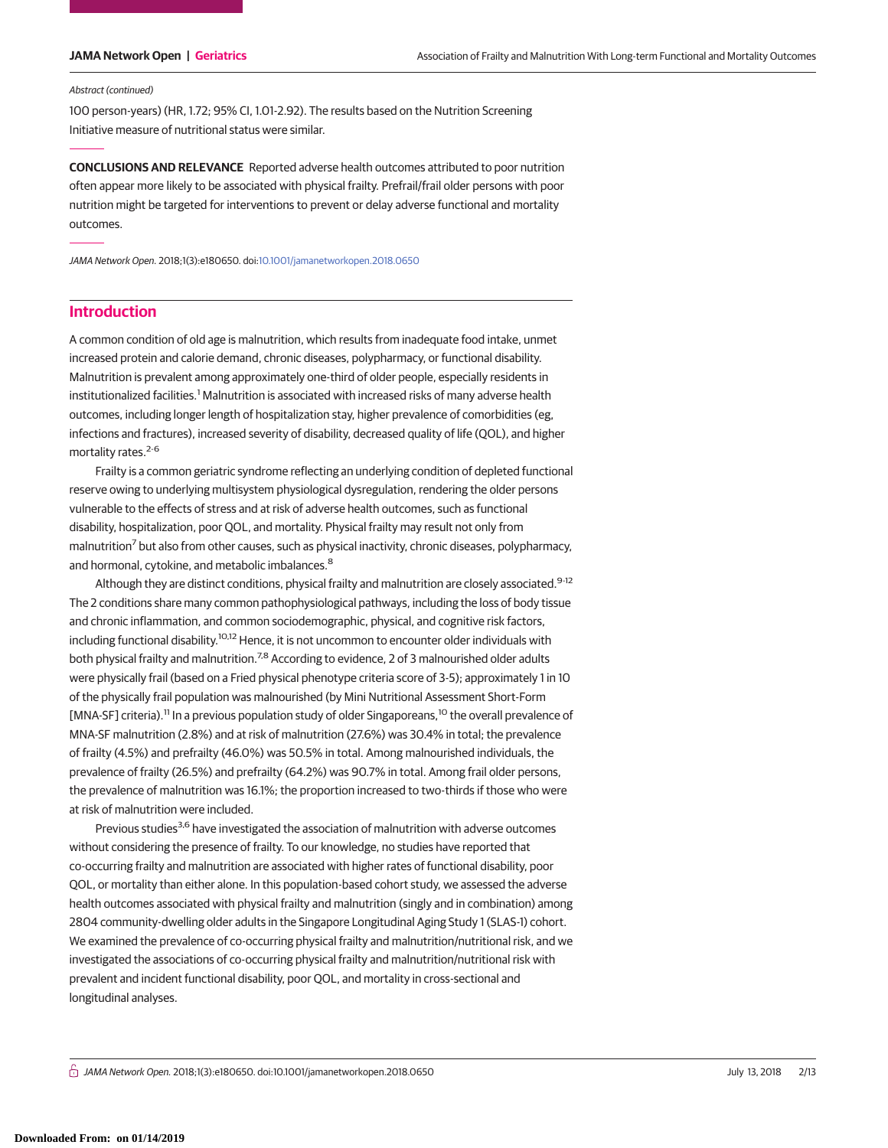#### Abstract (continued)

100 person-years) (HR, 1.72; 95% CI, 1.01-2.92). The results based on the Nutrition Screening Initiative measure of nutritional status were similar.

**CONCLUSIONS AND RELEVANCE** Reported adverse health outcomes attributed to poor nutrition often appear more likely to be associated with physical frailty. Prefrail/frail older persons with poor nutrition might be targeted for interventions to prevent or delay adverse functional and mortality outcomes.

JAMA Network Open. 2018;1(3):e180650. doi[:10.1001/jamanetworkopen.2018.0650](https://jama.jamanetwork.com/article.aspx?doi=10.1001/jamanetworkopen.2018.0650&utm_campaign=articlePDF%26utm_medium=articlePDFlink%26utm_source=articlePDF%26utm_content=jamanetworkopen.2018.0650)

# **Introduction**

A common condition of old age is malnutrition, which results from inadequate food intake, unmet increased protein and calorie demand, chronic diseases, polypharmacy, or functional disability. Malnutrition is prevalent among approximately one-third of older people, especially residents in institutionalized facilities.<sup>1</sup> Malnutrition is associated with increased risks of many adverse health outcomes, including longer length of hospitalization stay, higher prevalence of comorbidities (eg, infections and fractures), increased severity of disability, decreased quality of life (QOL), and higher mortality rates.<sup>2-6</sup>

Frailty is a common geriatric syndrome reflecting an underlying condition of depleted functional reserve owing to underlying multisystem physiological dysregulation, rendering the older persons vulnerable to the effects of stress and at risk of adverse health outcomes, such as functional disability, hospitalization, poor QOL, and mortality. Physical frailty may result not only from malnutrition<sup>7</sup> but also from other causes, such as physical inactivity, chronic diseases, polypharmacy, and hormonal, cytokine, and metabolic imbalances.<sup>8</sup>

Although they are distinct conditions, physical frailty and malnutrition are closely associated.<sup>9-12</sup> The 2 conditions share many common pathophysiological pathways, including the loss of body tissue and chronic inflammation, and common sociodemographic, physical, and cognitive risk factors, including functional disability.<sup>10,12</sup> Hence, it is not uncommon to encounter older individuals with both physical frailty and malnutrition.<sup>7,8</sup> According to evidence, 2 of 3 malnourished older adults were physically frail (based on a Fried physical phenotype criteria score of 3-5); approximately 1 in 10 of the physically frail population was malnourished (by Mini Nutritional Assessment Short-Form [MNA-SF] criteria).<sup>11</sup> In a previous population study of older Singaporeans,<sup>10</sup> the overall prevalence of MNA-SF malnutrition (2.8%) and at risk of malnutrition (27.6%) was 30.4% in total; the prevalence of frailty (4.5%) and prefrailty (46.0%) was 50.5% in total. Among malnourished individuals, the prevalence of frailty (26.5%) and prefrailty (64.2%) was 90.7% in total. Among frail older persons, the prevalence of malnutrition was 16.1%; the proportion increased to two-thirds if those who were at risk of malnutrition were included.

Previous studies<sup>3,6</sup> have investigated the association of malnutrition with adverse outcomes without considering the presence of frailty. To our knowledge, no studies have reported that co-occurring frailty and malnutrition are associated with higher rates of functional disability, poor QOL, or mortality than either alone. In this population-based cohort study, we assessed the adverse health outcomes associated with physical frailty and malnutrition (singly and in combination) among 2804 community-dwelling older adults in the Singapore Longitudinal Aging Study 1 (SLAS-1) cohort. We examined the prevalence of co-occurring physical frailty and malnutrition/nutritional risk, and we investigated the associations of co-occurring physical frailty and malnutrition/nutritional risk with prevalent and incident functional disability, poor QOL, and mortality in cross-sectional and longitudinal analyses.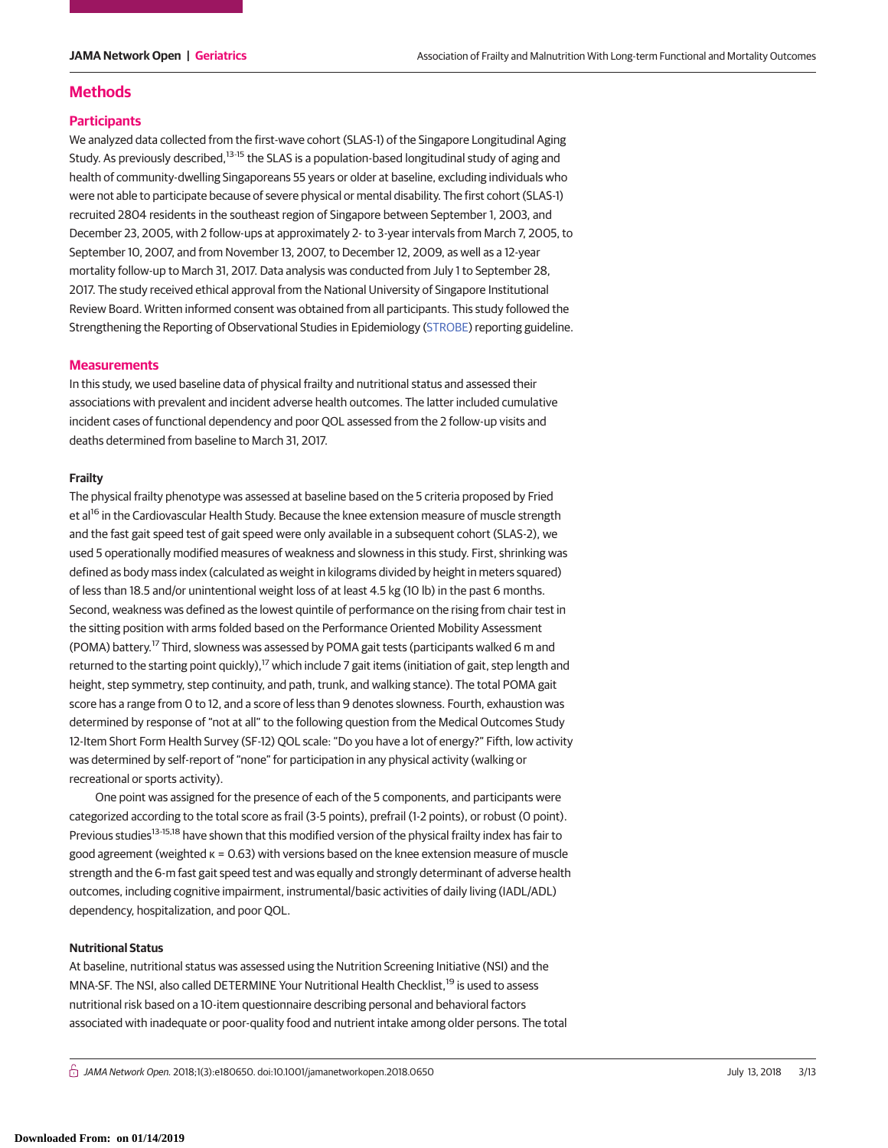## **Methods**

#### **Participants**

We analyzed data collected from the first-wave cohort (SLAS-1) of the Singapore Longitudinal Aging Study. As previously described,<sup>13-15</sup> the SLAS is a population-based longitudinal study of aging and health of community-dwelling Singaporeans 55 years or older at baseline, excluding individuals who were not able to participate because of severe physical or mental disability. The first cohort (SLAS-1) recruited 2804 residents in the southeast region of Singapore between September 1, 2003, and December 23, 2005, with 2 follow-ups at approximately 2- to 3-year intervals from March 7, 2005, to September 10, 2007, and from November 13, 2007, to December 12, 2009, as well as a 12-year mortality follow-up to March 31, 2017. Data analysis was conducted from July 1 to September 28, 2017. The study received ethical approval from the National University of Singapore Institutional Review Board. Written informed consent was obtained from all participants. This study followed the Strengthening the Reporting of Observational Studies in Epidemiology [\(STROBE\)](http://www.equator-network.org/reporting-guidelines/strobe/) reporting guideline.

#### **Measurements**

In this study, we used baseline data of physical frailty and nutritional status and assessed their associations with prevalent and incident adverse health outcomes. The latter included cumulative incident cases of functional dependency and poor QOL assessed from the 2 follow-up visits and deaths determined from baseline to March 31, 2017.

#### **Frailty**

The physical frailty phenotype was assessed at baseline based on the 5 criteria proposed by Fried et al<sup>16</sup> in the Cardiovascular Health Study. Because the knee extension measure of muscle strength and the fast gait speed test of gait speed were only available in a subsequent cohort (SLAS-2), we used 5 operationally modified measures of weakness and slowness in this study. First, shrinking was defined as body mass index (calculated as weight in kilograms divided by height in meters squared) of less than 18.5 and/or unintentional weight loss of at least 4.5 kg (10 lb) in the past 6 months. Second, weakness was defined as the lowest quintile of performance on the rising from chair test in the sitting position with arms folded based on the Performance Oriented Mobility Assessment (POMA) battery.<sup>17</sup> Third, slowness was assessed by POMA gait tests (participants walked 6 m and returned to the starting point quickly),<sup>17</sup> which include 7 gait items (initiation of gait, step length and height, step symmetry, step continuity, and path, trunk, and walking stance). The total POMA gait score has a range from 0 to 12, and a score of less than 9 denotes slowness. Fourth, exhaustion was determined by response of "not at all" to the following question from the Medical Outcomes Study 12-Item Short Form Health Survey (SF-12) QOL scale: "Do you have a lot of energy?" Fifth, low activity was determined by self-report of "none" for participation in any physical activity (walking or recreational or sports activity).

One point was assigned for the presence of each of the 5 components, and participants were categorized according to the total score as frail (3-5 points), prefrail (1-2 points), or robust (0 point). Previous studies<sup>13-15,18</sup> have shown that this modified version of the physical frailty index has fair to good agreement (weighted κ = 0.63) with versions based on the knee extension measure of muscle strength and the 6-m fast gait speed test and was equally and strongly determinant of adverse health outcomes, including cognitive impairment, instrumental/basic activities of daily living (IADL/ADL) dependency, hospitalization, and poor QOL.

#### **Nutritional Status**

At baseline, nutritional status was assessed using the Nutrition Screening Initiative (NSI) and the MNA-SF. The NSI, also called DETERMINE Your Nutritional Health Checklist,<sup>19</sup> is used to assess nutritional risk based on a 10-item questionnaire describing personal and behavioral factors associated with inadequate or poor-quality food and nutrient intake among older persons. The total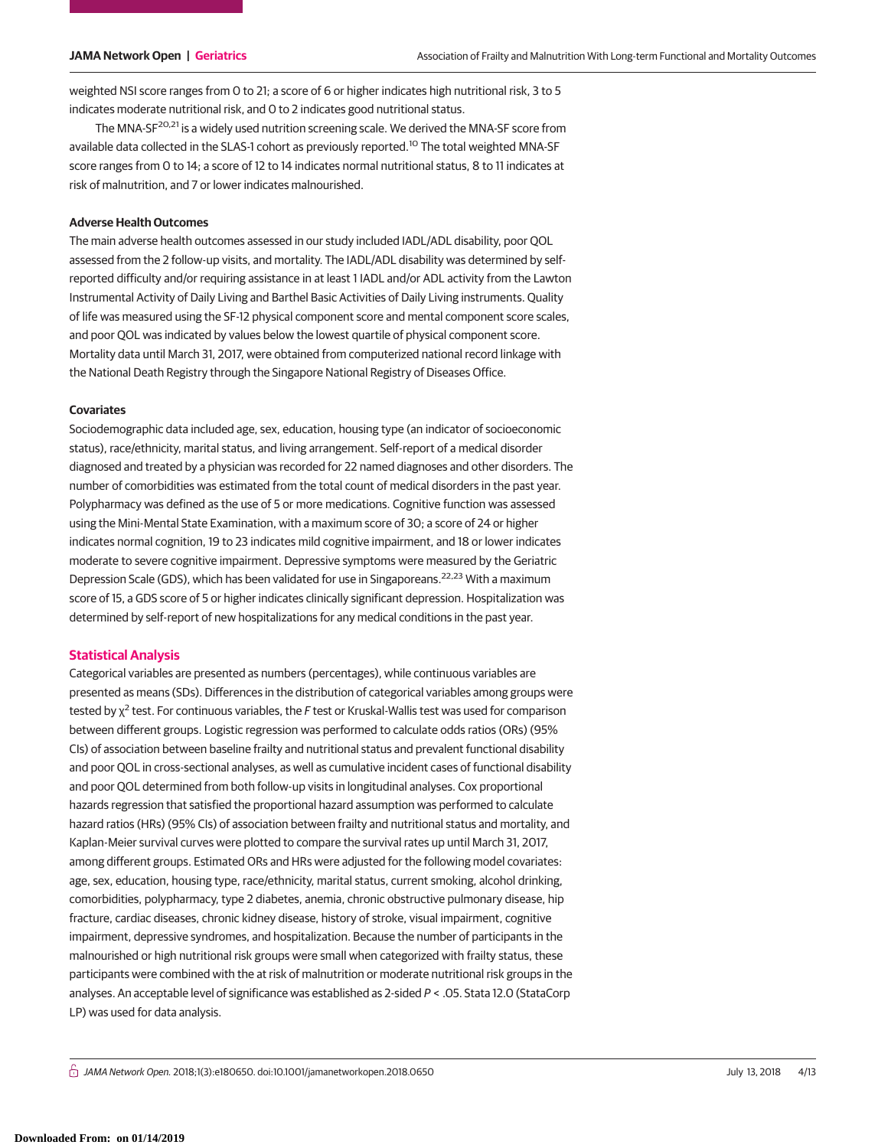weighted NSI score ranges from 0 to 21; a score of 6 or higher indicates high nutritional risk, 3 to 5 indicates moderate nutritional risk, and 0 to 2 indicates good nutritional status.

The MNA-SF<sup>20,21</sup> is a widely used nutrition screening scale. We derived the MNA-SF score from available data collected in the SLAS-1 cohort as previously reported.<sup>10</sup> The total weighted MNA-SF score ranges from 0 to 14; a score of 12 to 14 indicates normal nutritional status, 8 to 11 indicates at risk of malnutrition, and 7 or lower indicates malnourished.

#### **Adverse Health Outcomes**

The main adverse health outcomes assessed in our study included IADL/ADL disability, poor QOL assessed from the 2 follow-up visits, and mortality. The IADL/ADL disability was determined by selfreported difficulty and/or requiring assistance in at least 1 IADL and/or ADL activity from the Lawton Instrumental Activity of Daily Living and Barthel Basic Activities of Daily Living instruments. Quality of life was measured using the SF-12 physical component score and mental component score scales, and poor QOL was indicated by values below the lowest quartile of physical component score. Mortality data until March 31, 2017, were obtained from computerized national record linkage with the National Death Registry through the Singapore National Registry of Diseases Office.

#### **Covariates**

Sociodemographic data included age, sex, education, housing type (an indicator of socioeconomic status), race/ethnicity, marital status, and living arrangement. Self-report of a medical disorder diagnosed and treated by a physician was recorded for 22 named diagnoses and other disorders. The number of comorbidities was estimated from the total count of medical disorders in the past year. Polypharmacy was defined as the use of 5 or more medications. Cognitive function was assessed using the Mini-Mental State Examination, with a maximum score of 30; a score of 24 or higher indicates normal cognition, 19 to 23 indicates mild cognitive impairment, and 18 or lower indicates moderate to severe cognitive impairment. Depressive symptoms were measured by the Geriatric Depression Scale (GDS), which has been validated for use in Singaporeans.<sup>22,23</sup> With a maximum score of 15, a GDS score of 5 or higher indicates clinically significant depression. Hospitalization was determined by self-report of new hospitalizations for any medical conditions in the past year.

### **Statistical Analysis**

Categorical variables are presented as numbers (percentages), while continuous variables are presented as means (SDs). Differences in the distribution of categorical variables among groups were tested by  $\chi^2$  test. For continuous variables, the F test or Kruskal-Wallis test was used for comparison between different groups. Logistic regression was performed to calculate odds ratios (ORs) (95% CIs) of association between baseline frailty and nutritional status and prevalent functional disability and poor QOL in cross-sectional analyses, as well as cumulative incident cases of functional disability and poor QOL determined from both follow-up visits in longitudinal analyses. Cox proportional hazards regression that satisfied the proportional hazard assumption was performed to calculate hazard ratios (HRs) (95% CIs) of association between frailty and nutritional status and mortality, and Kaplan-Meier survival curves were plotted to compare the survival rates up until March 31, 2017, among different groups. Estimated ORs and HRs were adjusted for the following model covariates: age, sex, education, housing type, race/ethnicity, marital status, current smoking, alcohol drinking, comorbidities, polypharmacy, type 2 diabetes, anemia, chronic obstructive pulmonary disease, hip fracture, cardiac diseases, chronic kidney disease, history of stroke, visual impairment, cognitive impairment, depressive syndromes, and hospitalization. Because the number of participants in the malnourished or high nutritional risk groups were small when categorized with frailty status, these participants were combined with the at risk of malnutrition or moderate nutritional risk groups in the analyses. An acceptable level of significance was established as 2-sided P < .05. Stata 12.0 (StataCorp LP) was used for data analysis.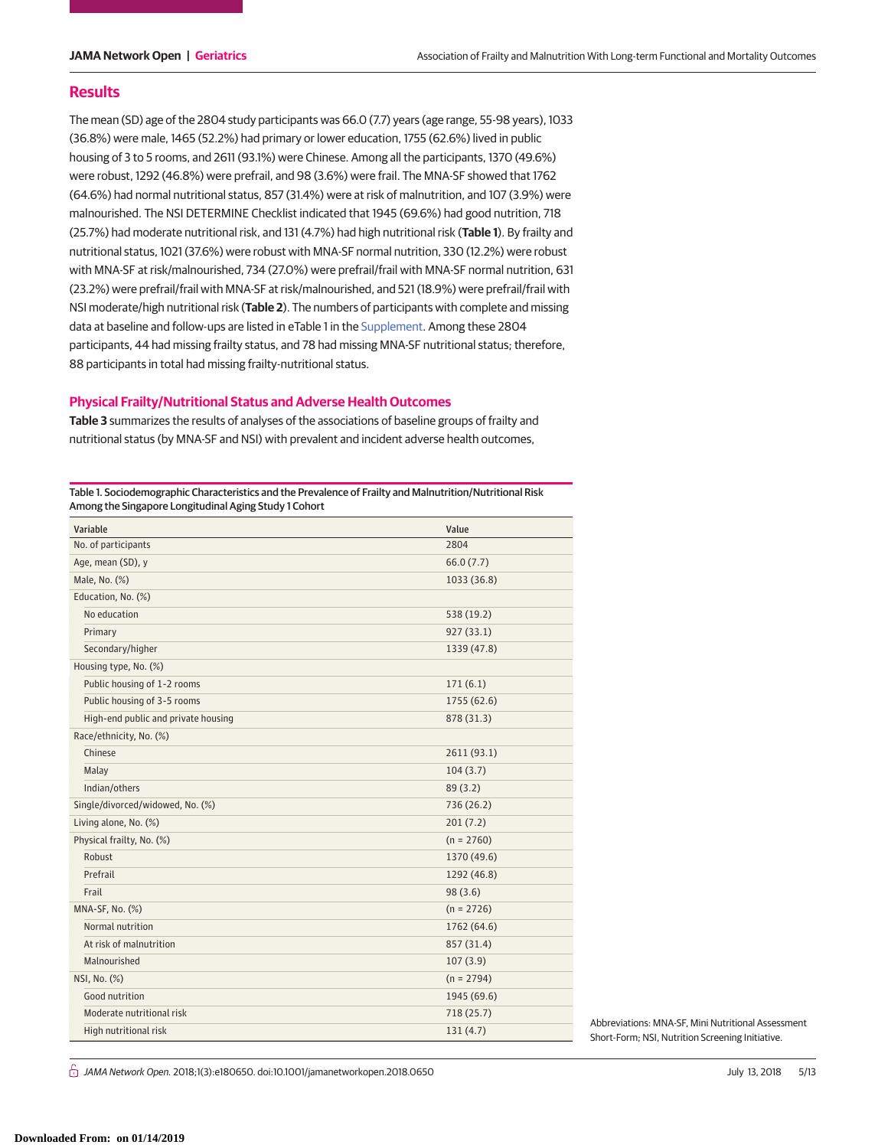#### **Results**

The mean (SD) age of the 2804 study participants was 66.0 (7.7) years (age range, 55-98 years), 1033 (36.8%) were male, 1465 (52.2%) had primary or lower education, 1755 (62.6%) lived in public housing of 3 to 5 rooms, and 2611 (93.1%) were Chinese. Among all the participants, 1370 (49.6%) were robust, 1292 (46.8%) were prefrail, and 98 (3.6%) were frail. The MNA-SF showed that 1762 (64.6%) had normal nutritional status, 857 (31.4%) were at risk of malnutrition, and 107 (3.9%) were malnourished. The NSI DETERMINE Checklist indicated that 1945 (69.6%) had good nutrition, 718 (25.7%) had moderate nutritional risk, and 131 (4.7%) had high nutritional risk (**Table 1**). By frailty and nutritional status, 1021 (37.6%) were robust with MNA-SF normal nutrition, 330 (12.2%) were robust with MNA-SF at risk/malnourished, 734 (27.0%) were prefrail/frail with MNA-SF normal nutrition, 631 (23.2%) were prefrail/frail with MNA-SF at risk/malnourished, and 521 (18.9%) were prefrail/frail with NSI moderate/high nutritional risk (**Table 2**). The numbers of participants with complete and missing data at baseline and follow-ups are listed in eTable 1 in the [Supplement.](https://jama.jamanetwork.com/article.aspx?doi=10.1001/jamanetworkopen.2018.0650&utm_campaign=articlePDF%26utm_medium=articlePDFlink%26utm_source=articlePDF%26utm_content=jamanetworkopen.2018.0650) Among these 2804 participants, 44 had missing frailty status, and 78 had missing MNA-SF nutritional status; therefore, 88 participants in total had missing frailty-nutritional status.

#### **Physical Frailty/Nutritional Status and Adverse Health Outcomes**

**Table 3** summarizes the results of analyses of the associations of baseline groups of frailty and nutritional status (by MNA-SF and NSI) with prevalent and incident adverse health outcomes,

Table 1. Sociodemographic Characteristics and the Prevalence of Frailty and Malnutrition/Nutritional Risk Among the Singapore Longitudinal Aging Study 1 Cohort

| Variable                            | Value        |
|-------------------------------------|--------------|
| No. of participants                 | 2804         |
| Age, mean (SD), y                   | 66.0(7.7)    |
| Male, No. (%)                       | 1033 (36.8)  |
| Education, No. (%)                  |              |
| No education                        | 538 (19.2)   |
| Primary                             | 927(33.1)    |
| Secondary/higher                    | 1339 (47.8)  |
| Housing type, No. (%)               |              |
| Public housing of 1-2 rooms         | 171(6.1)     |
| Public housing of 3-5 rooms         | 1755 (62.6)  |
| High-end public and private housing | 878 (31.3)   |
| Race/ethnicity, No. (%)             |              |
| Chinese                             | 2611 (93.1)  |
| Malay                               | 104(3.7)     |
| Indian/others                       | 89(3.2)      |
| Single/divorced/widowed, No. (%)    | 736 (26.2)   |
| Living alone, No. (%)               | 201(7.2)     |
| Physical frailty, No. (%)           | $(n = 2760)$ |
| Robust                              | 1370 (49.6)  |
| Prefrail                            | 1292 (46.8)  |
| Frail                               | 98(3.6)      |
| MNA-SF, No. (%)                     | $(n = 2726)$ |
| Normal nutrition                    | 1762 (64.6)  |
| At risk of malnutrition             | 857 (31.4)   |
| Malnourished                        | 107(3.9)     |
| NSI, No. (%)                        | $(n = 2794)$ |
| Good nutrition                      | 1945 (69.6)  |
| Moderate nutritional risk           | 718 (25.7)   |
| High nutritional risk               | 131(4.7)     |

Abbreviations: MNA-SF, Mini Nutritional Assessment Short-Form; NSI, Nutrition Screening Initiative.

் *JAMA Network Open.* 2018;1(3):e180650. doi:10.1001/jamanetworkopen.2018.0650 July 13, 2018 5/13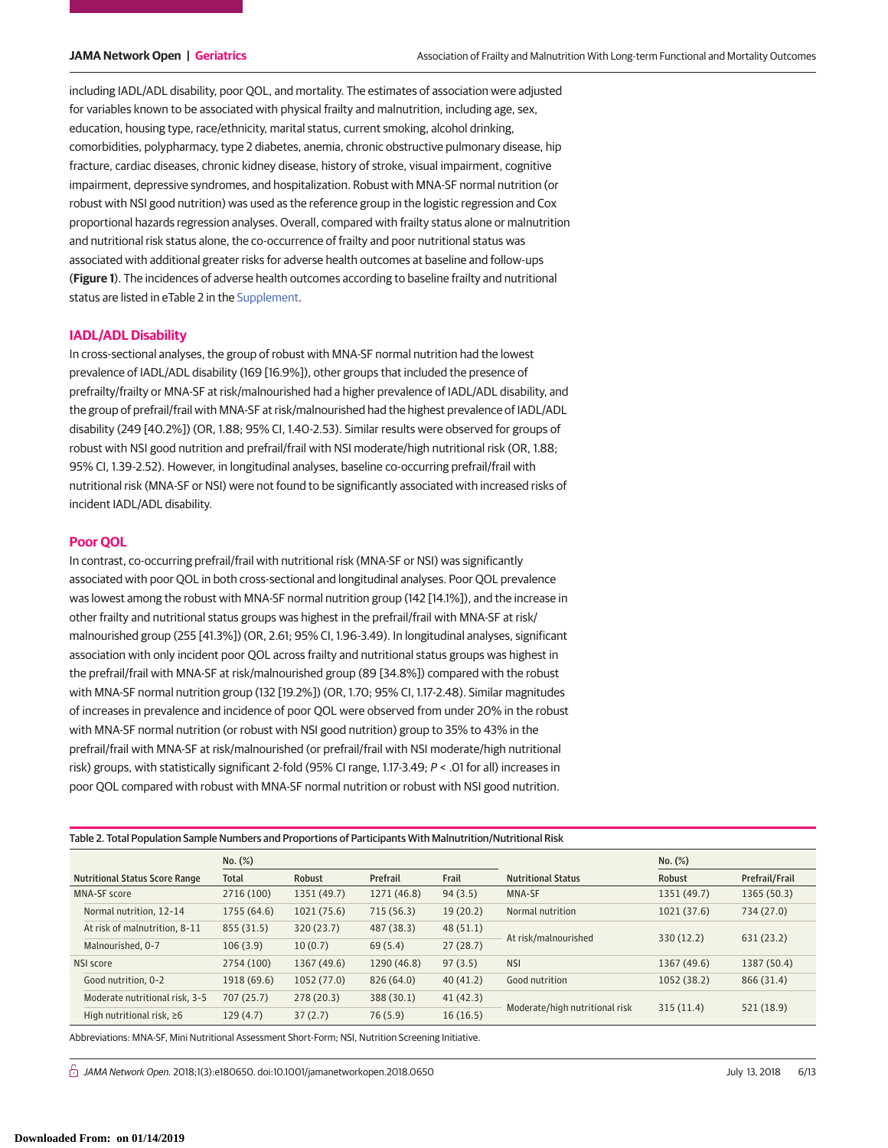including IADL/ADL disability, poor QOL, and mortality. The estimates of association were adjusted for variables known to be associated with physical frailty and malnutrition, including age, sex, education, housing type, race/ethnicity, marital status, current smoking, alcohol drinking, comorbidities, polypharmacy, type 2 diabetes, anemia, chronic obstructive pulmonary disease, hip fracture, cardiac diseases, chronic kidney disease, history of stroke, visual impairment, cognitive impairment, depressive syndromes, and hospitalization. Robust with MNA-SF normal nutrition (or robust with NSI good nutrition) was used as the reference group in the logistic regression and Cox proportional hazards regression analyses. Overall, compared with frailty status alone or malnutrition and nutritional risk status alone, the co-occurrence of frailty and poor nutritional status was associated with additional greater risks for adverse health outcomes at baseline and follow-ups (**Figure 1**). The incidences of adverse health outcomes according to baseline frailty and nutritional status are listed in eTable 2 in the [Supplement.](https://jama.jamanetwork.com/article.aspx?doi=10.1001/jamanetworkopen.2018.0650&utm_campaign=articlePDF%26utm_medium=articlePDFlink%26utm_source=articlePDF%26utm_content=jamanetworkopen.2018.0650)

#### **IADL/ADL Disability**

In cross-sectional analyses, the group of robust with MNA-SF normal nutrition had the lowest prevalence of IADL/ADL disability (169 [16.9%]), other groups that included the presence of prefrailty/frailty or MNA-SF at risk/malnourished had a higher prevalence of IADL/ADL disability, and the group of prefrail/frail with MNA-SF at risk/malnourished had the highest prevalence of IADL/ADL disability (249 [40.2%]) (OR, 1.88; 95% CI, 1.40-2.53). Similar results were observed for groups of robust with NSI good nutrition and prefrail/frail with NSI moderate/high nutritional risk (OR, 1.88; 95% CI, 1.39-2.52). However, in longitudinal analyses, baseline co-occurring prefrail/frail with nutritional risk (MNA-SF or NSI) were not found to be significantly associated with increased risks of incident IADL/ADL disability.

#### **Poor QOL**

In contrast, co-occurring prefrail/frail with nutritional risk (MNA-SF or NSI) was significantly associated with poor QOL in both cross-sectional and longitudinal analyses. Poor QOL prevalence was lowest among the robust with MNA-SF normal nutrition group (142 [14.1%]), and the increase in other frailty and nutritional status groups was highest in the prefrail/frail with MNA-SF at risk/ malnourished group (255 [41.3%]) (OR, 2.61; 95% CI, 1.96-3.49). In longitudinal analyses, significant association with only incident poor QOL across frailty and nutritional status groups was highest in the prefrail/frail with MNA-SF at risk/malnourished group (89 [34.8%]) compared with the robust with MNA-SF normal nutrition group (132 [19.2%]) (OR, 1.70; 95% CI, 1.17-2.48). Similar magnitudes of increases in prevalence and incidence of poor QOL were observed from under 20% in the robust with MNA-SF normal nutrition (or robust with NSI good nutrition) group to 35% to 43% in the prefrail/frail with MNA-SF at risk/malnourished (or prefrail/frail with NSI moderate/high nutritional risk) groups, with statistically significant 2-fold (95% CI range, 1.17-3.49; P < .01 for all) increases in poor QOL compared with robust with MNA-SF normal nutrition or robust with NSI good nutrition.

Table 2. Total Population Sample Numbers and Proportions of Participants With Malnutrition/Nutritional Risk

|                                       |                                 | No. (%)      |             |             |          |                                | No. (%)     |                |
|---------------------------------------|---------------------------------|--------------|-------------|-------------|----------|--------------------------------|-------------|----------------|
| <b>Nutritional Status Score Range</b> |                                 | <b>Total</b> | Robust      | Prefrail    | Frail    | <b>Nutritional Status</b>      | Robust      | Prefrail/Frail |
|                                       | MNA-SF score                    | 2716 (100)   | 1351 (49.7) | 1271 (46.8) | 94(3.5)  | MNA-SF                         | 1351 (49.7) | 1365 (50.3)    |
|                                       | Normal nutrition, 12-14         | 1755 (64.6)  | 1021(75.6)  | 715(56.3)   | 19(20.2) | Normal nutrition               | 1021(37.6)  | 734 (27.0)     |
|                                       | At risk of malnutrition, 8-11   | 855 (31.5)   | 320 (23.7)  | 487 (38.3)  | 48(51.1) |                                |             | 631(23.2)      |
|                                       | Malnourished, 0-7               | 106(3.9)     | 10(0.7)     | 69(5.4)     | 27(28.7) | At risk/malnourished           | 330(12.2)   |                |
| NSI score                             |                                 | 2754 (100)   | 1367 (49.6) | 1290 (46.8) | 97(3.5)  | <b>NSI</b>                     | 1367 (49.6) | 1387 (50.4)    |
|                                       | Good nutrition, 0-2             | 1918 (69.6)  | 1052(77.0)  | 826 (64.0)  | 40(41.2) | Good nutrition                 | 1052 (38.2) | 866 (31.4)     |
|                                       | Moderate nutritional risk, 3-5  | 707 (25.7)   | 278(20.3)   | 388 (30.1)  | 41(42.3) |                                |             | 521 (18.9)     |
|                                       | High nutritional risk, $\geq 6$ | 129(4.7)     | 37(2.7)     | 76 (5.9)    | 16(16.5) | Moderate/high nutritional risk | 315(11.4)   |                |

Abbreviations: MNA-SF, Mini Nutritional Assessment Short-Form; NSI, Nutrition Screening Initiative.

 $\bigcap$  JAMA Network Open. 2018;1(3):e180650. doi:10.1001/jamanetworkopen.2018.0650 July 14, 2018 6/13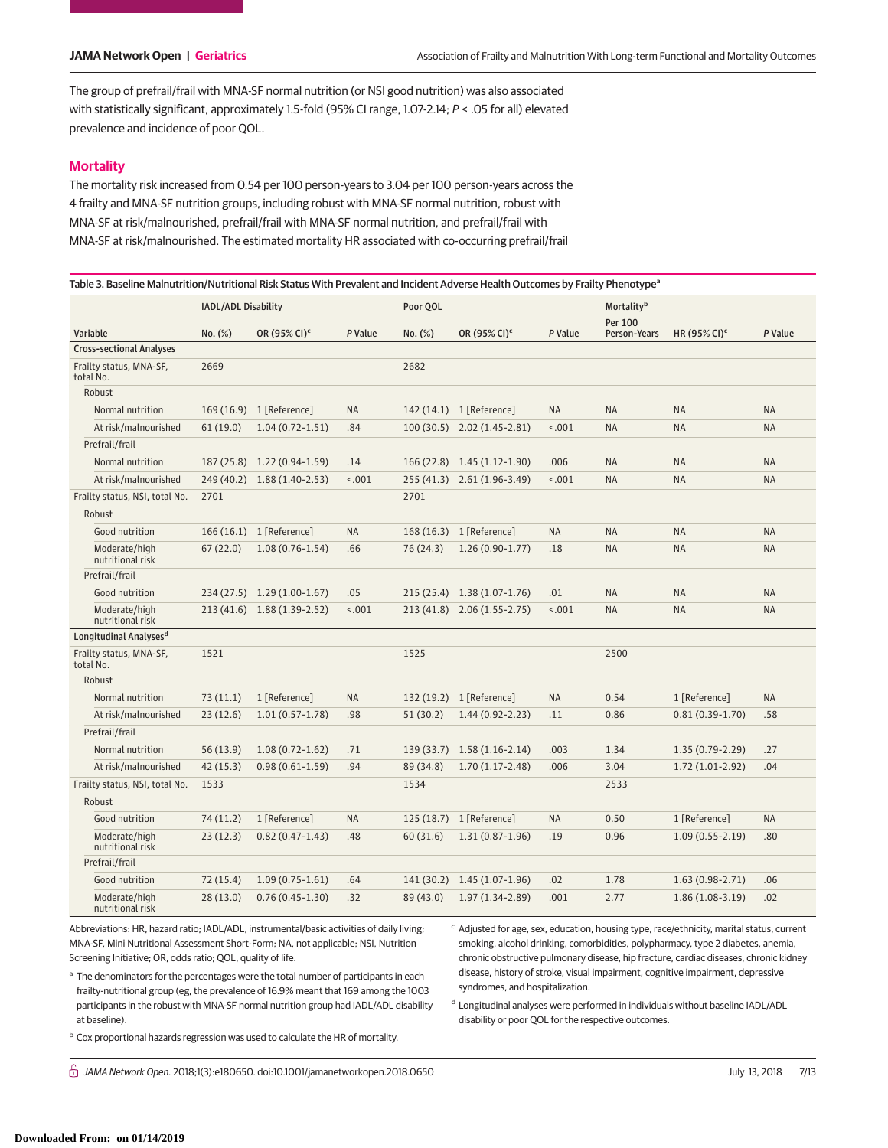The group of prefrail/frail with MNA-SF normal nutrition (or NSI good nutrition) was also associated with statistically significant, approximately 1.5-fold (95% CI range, 1.07-2.14; P < .05 for all) elevated prevalence and incidence of poor QOL.

## **Mortality**

The mortality risk increased from 0.54 per 100 person-years to 3.04 per 100 person-years across the 4 frailty and MNA-SF nutrition groups, including robust with MNA-SF normal nutrition, robust with MNA-SF at risk/malnourished, prefrail/frail with MNA-SF normal nutrition, and prefrail/frail with MNA-SF at risk/malnourished. The estimated mortality HR associated with co-occurring prefrail/frail

#### Table 3. Baseline Malnutrition/Nutritional Risk Status With Prevalent and Incident Adverse Health Outcomes by Frailty Phenotype<sup>a</sup>

|                                      | IADL/ADL Disability |                             |           | Poor QOL   |                             |           | Mortalityb              |                          |           |
|--------------------------------------|---------------------|-----------------------------|-----------|------------|-----------------------------|-----------|-------------------------|--------------------------|-----------|
| Variable                             | No. (%)             | OR (95% CI) <sup>c</sup>    | P Value   | No. (%)    | OR (95% CI) <sup>c</sup>    | P Value   | Per 100<br>Person-Years | HR (95% CI) <sup>c</sup> | P Value   |
| <b>Cross-sectional Analyses</b>      |                     |                             |           |            |                             |           |                         |                          |           |
| Frailty status, MNA-SF,<br>total No. | 2669                |                             |           | 2682       |                             |           |                         |                          |           |
| Robust                               |                     |                             |           |            |                             |           |                         |                          |           |
| Normal nutrition                     |                     | 169 (16.9) 1 [Reference]    | <b>NA</b> |            | 142 (14.1) 1 [Reference]    | <b>NA</b> | <b>NA</b>               | NA                       | <b>NA</b> |
| At risk/malnourished                 | 61(19.0)            | $1.04(0.72 - 1.51)$         | .84       |            | 100 (30.5) 2.02 (1.45-2.81) | < .001    | <b>NA</b>               | <b>NA</b>                | <b>NA</b> |
| Prefrail/frail                       |                     |                             |           |            |                             |           |                         |                          |           |
| Normal nutrition                     | 187 (25.8)          | $1.22(0.94-1.59)$           | .14       | 166(22.8)  | $1.45(1.12-1.90)$           | .006      | <b>NA</b>               | <b>NA</b>                | <b>NA</b> |
| At risk/malnourished                 |                     | 249 (40.2) 1.88 (1.40-2.53) | < .001    |            | 255 (41.3) 2.61 (1.96-3.49) | < .001    | <b>NA</b>               | <b>NA</b>                | <b>NA</b> |
| Frailty status, NSI, total No.       | 2701                |                             |           | 2701       |                             |           |                         |                          |           |
| Robust                               |                     |                             |           |            |                             |           |                         |                          |           |
| Good nutrition                       | 166(16.1)           | 1 [Reference]               | <b>NA</b> | 168(16.3)  | 1 [Reference]               | <b>NA</b> | <b>NA</b>               | <b>NA</b>                | <b>NA</b> |
| Moderate/high<br>nutritional risk    | 67(22.0)            | $1.08(0.76 - 1.54)$         | .66       | 76 (24.3)  | $1.26(0.90-1.77)$           | .18       | <b>NA</b>               | <b>NA</b>                | <b>NA</b> |
| Prefrail/frail                       |                     |                             |           |            |                             |           |                         |                          |           |
| Good nutrition                       |                     | 234 (27.5) 1.29 (1.00-1.67) | .05       | 215(25.4)  | $1.38(1.07-1.76)$           | .01       | <b>NA</b>               | <b>NA</b>                | <b>NA</b> |
| Moderate/high<br>nutritional risk    |                     | 213 (41.6) 1.88 (1.39-2.52) | < 0.001   |            | 213 (41.8) 2.06 (1.55-2.75) | < .001    | <b>NA</b>               | <b>NA</b>                | <b>NA</b> |
| Longitudinal Analyses <sup>d</sup>   |                     |                             |           |            |                             |           |                         |                          |           |
| Frailty status, MNA-SF,<br>total No. | 1521                |                             |           | 1525       |                             |           | 2500                    |                          |           |
| Robust                               |                     |                             |           |            |                             |           |                         |                          |           |
| Normal nutrition                     | 73(11.1)            | 1 [Reference]               | <b>NA</b> | 132 (19.2) | 1 [Reference]               | <b>NA</b> | 0.54                    | 1 [Reference]            | <b>NA</b> |
| At risk/malnourished                 | 23(12.6)            | $1.01(0.57 - 1.78)$         | .98       | 51(30.2)   | $1.44(0.92 - 2.23)$         | .11       | 0.86                    | $0.81(0.39-1.70)$        | .58       |
| Prefrail/frail                       |                     |                             |           |            |                             |           |                         |                          |           |
| Normal nutrition                     | 56 (13.9)           | $1.08(0.72 - 1.62)$         | .71       | 139(33.7)  | $1.58(1.16-2.14)$           | .003      | 1.34                    | $1.35(0.79-2.29)$        | .27       |
| At risk/malnourished                 | 42 (15.3)           | $0.98(0.61-1.59)$           | .94       | 89 (34.8)  | $1.70(1.17-2.48)$           | .006      | 3.04                    | $1.72(1.01-2.92)$        | .04       |
| Frailty status, NSI, total No.       | 1533                |                             |           | 1534       |                             |           | 2533                    |                          |           |
| Robust                               |                     |                             |           |            |                             |           |                         |                          |           |
| Good nutrition                       | 74 (11.2)           | 1 [Reference]               | <b>NA</b> | 125(18.7)  | 1 [Reference]               | <b>NA</b> | 0.50                    | 1 [Reference]            | <b>NA</b> |
| Moderate/high<br>nutritional risk    | 23(12.3)            | $0.82(0.47 - 1.43)$         | .48       | 60 (31.6)  | $1.31(0.87-1.96)$           | .19       | 0.96                    | $1.09(0.55 - 2.19)$      | .80       |
| Prefrail/frail                       |                     |                             |           |            |                             |           |                         |                          |           |
| Good nutrition                       | 72 (15.4)           | $1.09(0.75-1.61)$           | .64       | 141 (30.2) | $1.45(1.07-1.96)$           | .02       | 1.78                    | $1.63(0.98-2.71)$        | .06       |
| Moderate/high<br>nutritional risk    | 28(13.0)            | $0.76(0.45 - 1.30)$         | .32       | 89 (43.0)  | $1.97(1.34-2.89)$           | .001      | 2.77                    | $1.86(1.08-3.19)$        | .02       |

Abbreviations: HR, hazard ratio; IADL/ADL, instrumental/basic activities of daily living; MNA-SF, Mini Nutritional Assessment Short-Form; NA, not applicable; NSI, Nutrition Screening Initiative; OR, odds ratio; QOL, quality of life.

<sup>c</sup> Adjusted for age, sex, education, housing type, race/ethnicity, marital status, current smoking, alcohol drinking, comorbidities, polypharmacy, type 2 diabetes, anemia, chronic obstructive pulmonary disease, hip fracture, cardiac diseases, chronic kidney disease, history of stroke, visual impairment, cognitive impairment, depressive syndromes, and hospitalization.

<sup>a</sup> The denominators for the percentages were the total number of participants in each frailty-nutritional group (eg, the prevalence of 16.9% meant that 169 among the 1003 participants in the robust with MNA-SF normal nutrition group had IADL/ADL disability at baseline).

b Cox proportional hazards regression was used to calculate the HR of mortality.

<sup>d</sup> Longitudinal analyses were performed in individuals without baseline IADL/ADL disability or poor QOL for the respective outcomes.

் *JAMA Network Open.* 2018;1(3):e180650. doi:10.1001/jamanetworkopen.2018.0650 July 13, 2018 7/13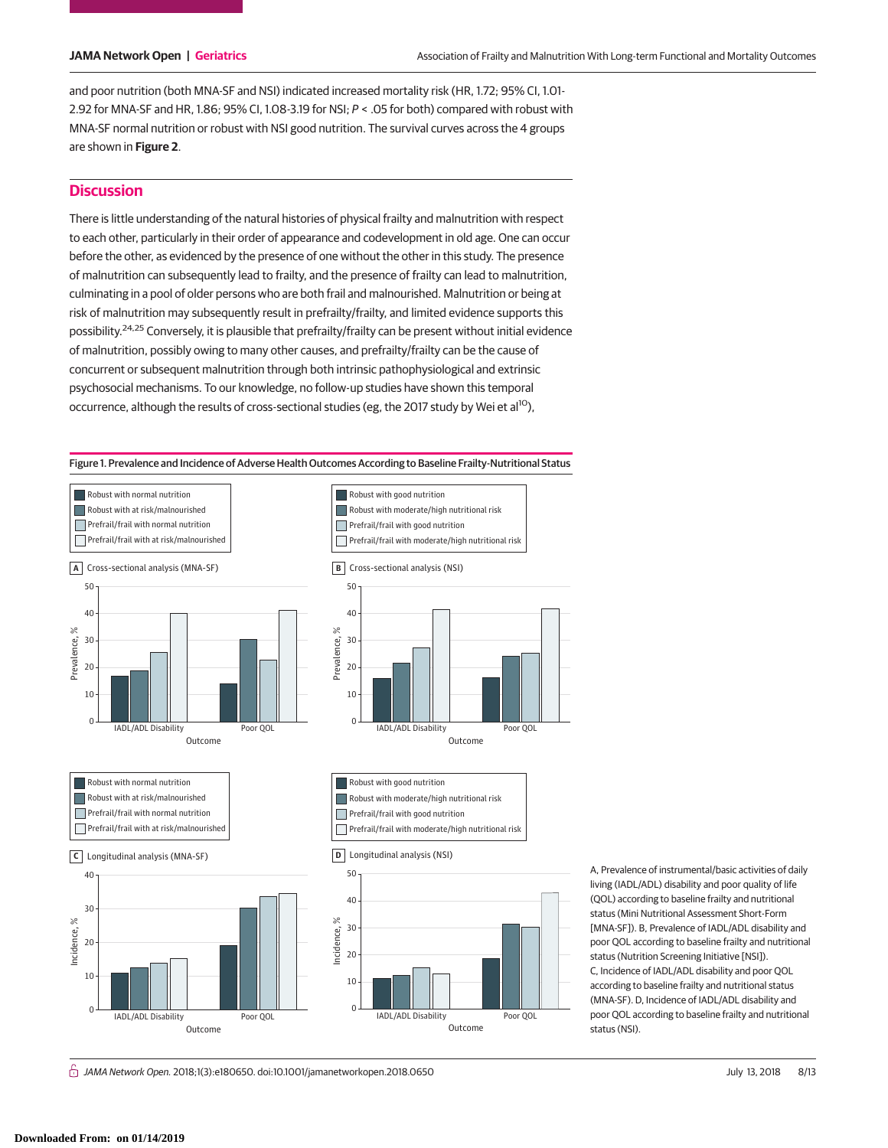and poor nutrition (both MNA-SF and NSI) indicated increased mortality risk (HR, 1.72; 95% CI, 1.01- 2.92 for MNA-SF and HR, 1.86; 95% CI, 1.08-3.19 for NSI; P < .05 for both) compared with robust with MNA-SF normal nutrition or robust with NSI good nutrition. The survival curves across the 4 groups are shown in **Figure 2**.

# **Discussion**

There is little understanding of the natural histories of physical frailty and malnutrition with respect to each other, particularly in their order of appearance and codevelopment in old age. One can occur before the other, as evidenced by the presence of one without the other in this study. The presence of malnutrition can subsequently lead to frailty, and the presence of frailty can lead to malnutrition, culminating in a pool of older persons who are both frail and malnourished. Malnutrition or being at risk of malnutrition may subsequently result in prefrailty/frailty, and limited evidence supports this possibility.24,25 Conversely, it is plausible that prefrailty/frailty can be present without initial evidence of malnutrition, possibly owing to many other causes, and prefrailty/frailty can be the cause of concurrent or subsequent malnutrition through both intrinsic pathophysiological and extrinsic psychosocial mechanisms. To our knowledge, no follow-up studies have shown this temporal occurrence, although the results of cross-sectional studies (eg, the 2017 study by Wei et al<sup>10</sup>),

Figure 1. Prevalence and Incidence of Adverse Health Outcomes According to Baseline Frailty-Nutritional Status



A, Prevalence of instrumental/basic activities of daily living (IADL/ADL) disability and poor quality of life (QOL) according to baseline frailty and nutritional status (Mini Nutritional Assessment Short-Form [MNA-SF]). B, Prevalence of IADL/ADL disability and poor QOL according to baseline frailty and nutritional status (Nutrition Screening Initiative [NSI]). C, Incidence of IADL/ADL disability and poor QOL according to baseline frailty and nutritional status (MNA-SF). D, Incidence of IADL/ADL disability and poor QOL according to baseline frailty and nutritional status (NSI).

் *JAMA Network Open.* 2018;1(3):e180650. doi:10.1001/jamanetworkopen.2018.0650 July 13, 2018 8/13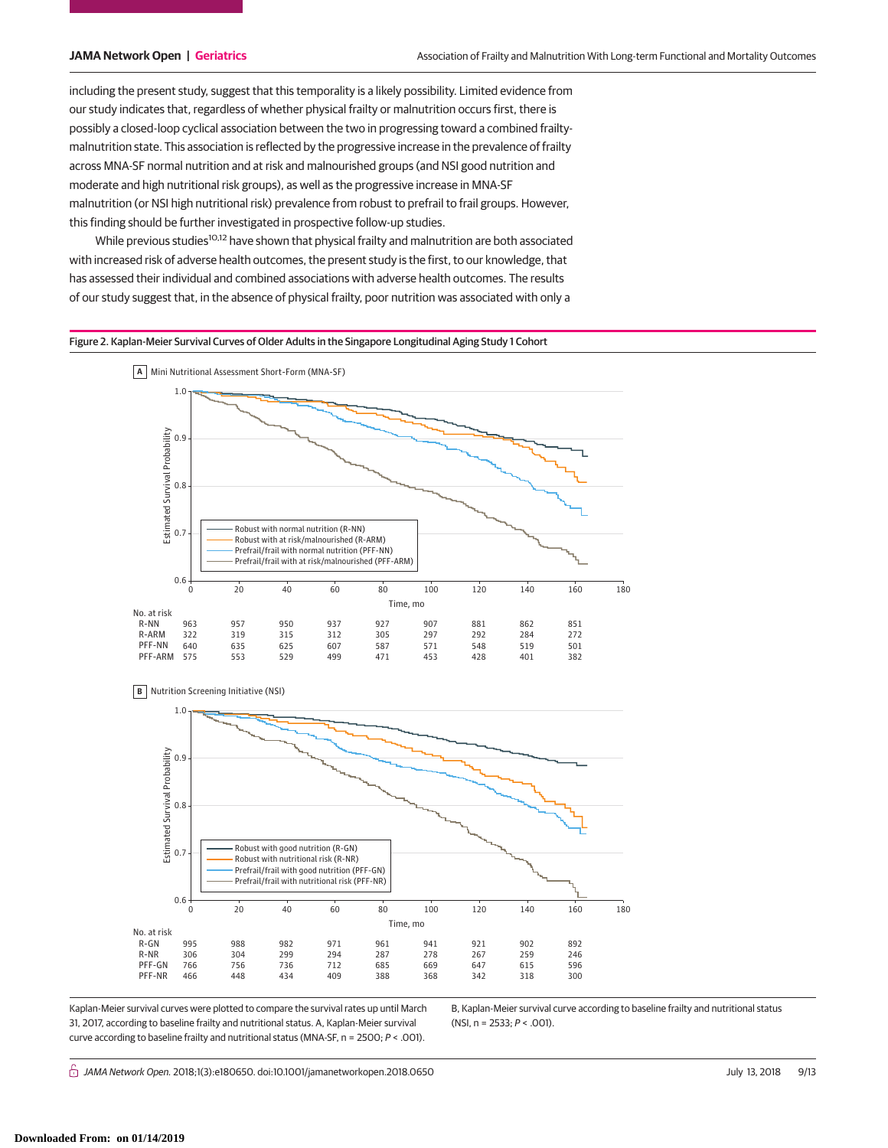including the present study, suggest that this temporality is a likely possibility. Limited evidence from our study indicates that, regardless of whether physical frailty or malnutrition occurs first, there is possibly a closed-loop cyclical association between the two in progressing toward a combined frailtymalnutrition state. This association is reflected by the progressive increase in the prevalence of frailty across MNA-SF normal nutrition and at risk and malnourished groups (and NSI good nutrition and moderate and high nutritional risk groups), as well as the progressive increase in MNA-SF malnutrition (or NSI high nutritional risk) prevalence from robust to prefrail to frail groups. However, this finding should be further investigated in prospective follow-up studies.

While previous studies<sup>10,12</sup> have shown that physical frailty and malnutrition are both associated with increased risk of adverse health outcomes, the present study is the first, to our knowledge, that has assessed their individual and combined associations with adverse health outcomes. The results of our study suggest that, in the absence of physical frailty, poor nutrition was associated with only a

Figure 2. Kaplan-Meier Survival Curves of Older Adults in the Singapore Longitudinal Aging Study 1 Cohort





Kaplan-Meier survival curves were plotted to compare the survival rates up until March 31, 2017, according to baseline frailty and nutritional status. A, Kaplan-Meier survival curve according to baseline frailty and nutritional status (MNA-SF, n = 2500; P < .001).

B, Kaplan-Meier survival curve according to baseline frailty and nutritional status (NSI, n = 2533; P < .001).

் *JAMA Network Open.* 2018;1(3):e180650. doi:10.1001/jamanetworkopen.2018.0650 July 3, 2018 9/13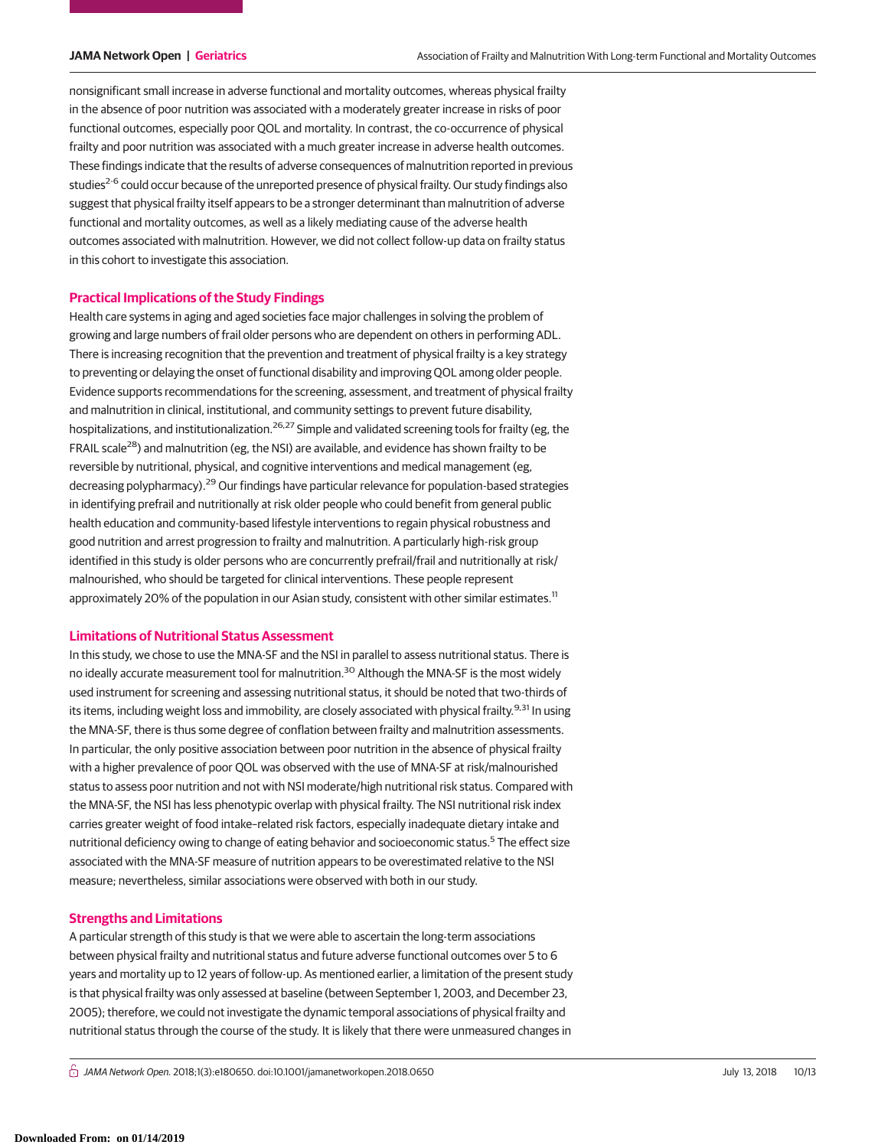nonsignificant small increase in adverse functional and mortality outcomes, whereas physical frailty in the absence of poor nutrition was associated with a moderately greater increase in risks of poor functional outcomes, especially poor QOL and mortality. In contrast, the co-occurrence of physical frailty and poor nutrition was associated with a much greater increase in adverse health outcomes. These findings indicate that the results of adverse consequences of malnutrition reported in previous studies<sup>2-6</sup> could occur because of the unreported presence of physical frailty. Our study findings also suggest that physical frailty itself appears to be a stronger determinant than malnutrition of adverse functional and mortality outcomes, as well as a likely mediating cause of the adverse health outcomes associated with malnutrition. However, we did not collect follow-up data on frailty status in this cohort to investigate this association.

#### **Practical Implications of the Study Findings**

Health care systems in aging and aged societies face major challenges in solving the problem of growing and large numbers of frail older persons who are dependent on others in performing ADL. There is increasing recognition that the prevention and treatment of physical frailty is a key strategy to preventing or delaying the onset of functional disability and improving QOL among older people. Evidence supports recommendations for the screening, assessment, and treatment of physical frailty and malnutrition in clinical, institutional, and community settings to prevent future disability, hospitalizations, and institutionalization.<sup>26,27</sup> Simple and validated screening tools for frailty (eg, the FRAIL scale<sup>28</sup>) and malnutrition (eg, the NSI) are available, and evidence has shown frailty to be reversible by nutritional, physical, and cognitive interventions and medical management (eg, decreasing polypharmacy).<sup>29</sup> Our findings have particular relevance for population-based strategies in identifying prefrail and nutritionally at risk older people who could benefit from general public health education and community-based lifestyle interventions to regain physical robustness and good nutrition and arrest progression to frailty and malnutrition. A particularly high-risk group identified in this study is older persons who are concurrently prefrail/frail and nutritionally at risk/ malnourished, who should be targeted for clinical interventions. These people represent approximately 20% of the population in our Asian study, consistent with other similar estimates.<sup>11</sup>

### **Limitations of Nutritional Status Assessment**

In this study, we chose to use the MNA-SF and the NSI in parallel to assess nutritional status. There is no ideally accurate measurement tool for malnutrition.<sup>30</sup> Although the MNA-SF is the most widely used instrument for screening and assessing nutritional status, it should be noted that two-thirds of its items, including weight loss and immobility, are closely associated with physical frailty.<sup>9,31</sup> In using the MNA-SF, there is thus some degree of conflation between frailty and malnutrition assessments. In particular, the only positive association between poor nutrition in the absence of physical frailty with a higher prevalence of poor QOL was observed with the use of MNA-SF at risk/malnourished status to assess poor nutrition and not with NSI moderate/high nutritional risk status. Compared with the MNA-SF, the NSI has less phenotypic overlap with physical frailty. The NSI nutritional risk index carries greater weight of food intake–related risk factors, especially inadequate dietary intake and nutritional deficiency owing to change of eating behavior and socioeconomic status.<sup>5</sup> The effect size associated with the MNA-SF measure of nutrition appears to be overestimated relative to the NSI measure; nevertheless, similar associations were observed with both in our study.

#### **Strengths and Limitations**

A particular strength of this study is that we were able to ascertain the long-term associations between physical frailty and nutritional status and future adverse functional outcomes over 5 to 6 years and mortality up to 12 years of follow-up. As mentioned earlier, a limitation of the present study is that physical frailty was only assessed at baseline (between September 1, 2003, and December 23, 2005); therefore, we could not investigate the dynamic temporal associations of physical frailty and nutritional status through the course of the study. It is likely that there were unmeasured changes in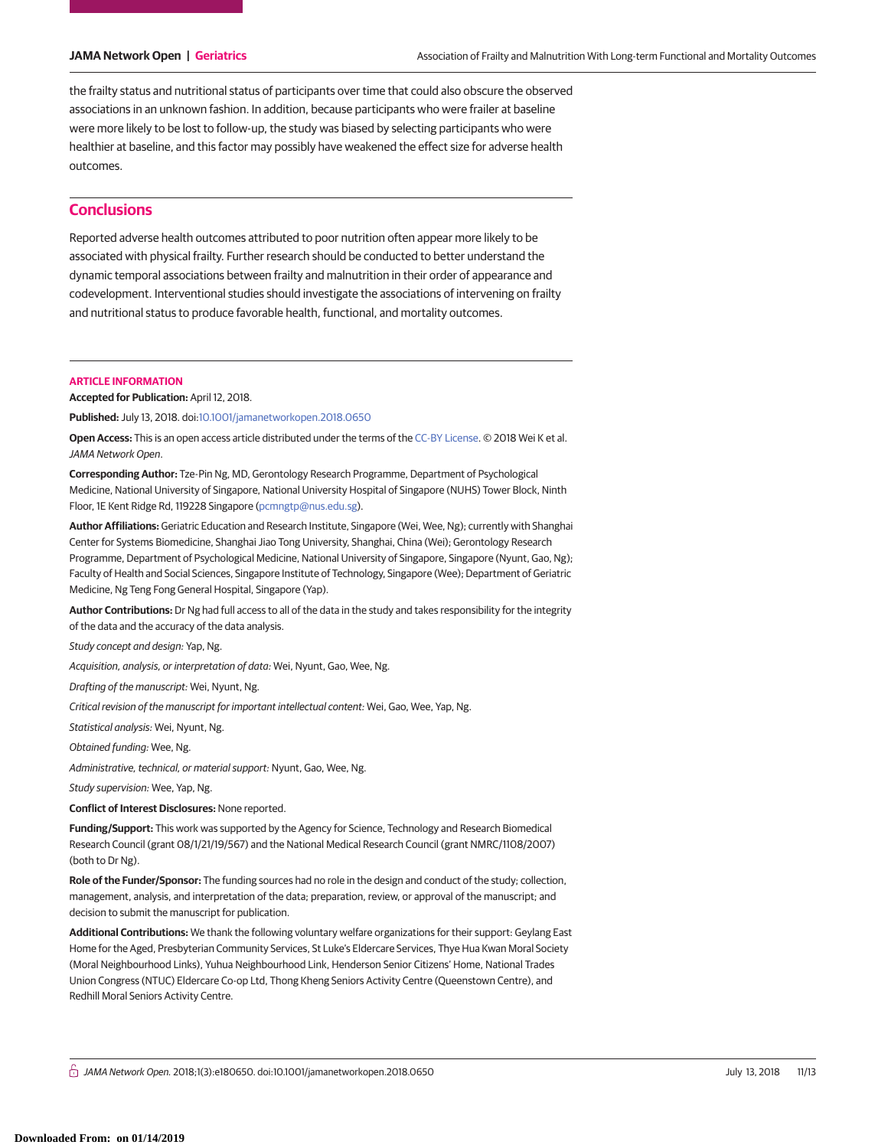the frailty status and nutritional status of participants over time that could also obscure the observed associations in an unknown fashion. In addition, because participants who were frailer at baseline were more likely to be lost to follow-up, the study was biased by selecting participants who were healthier at baseline, and this factor may possibly have weakened the effect size for adverse health outcomes.

# **Conclusions**

Reported adverse health outcomes attributed to poor nutrition often appear more likely to be associated with physical frailty. Further research should be conducted to better understand the dynamic temporal associations between frailty and malnutrition in their order of appearance and codevelopment. Interventional studies should investigate the associations of intervening on frailty and nutritional status to produce favorable health, functional, and mortality outcomes.

#### **ARTICLE INFORMATION**

**Accepted for Publication:** April 12, 2018.

**Published:** July 13, 2018. doi[:10.1001/jamanetworkopen.2018.0650](https://jama.jamanetwork.com/article.aspx?doi=10.1001/jamanetworkopen.2018.0650&utm_campaign=articlePDF%26utm_medium=articlePDFlink%26utm_source=articlePDF%26utm_content=jamanetworkopen.2018.0650)

**Open Access:** This is an open access article distributed under the terms of the [CC-BY License.](https://jamanetwork.com/journals/jamanetworkopen/pages/instructions-for-authors#SecOpenAccess/?utm_campaign=articlePDF%26utm_medium=articlePDFlink%26utm_source=articlePDF%26utm_content=jamanetworkopen.2018.0650) © 2018 Wei K et al. JAMA Network Open.

**Corresponding Author:** Tze-Pin Ng, MD, Gerontology Research Programme, Department of Psychological Medicine, National University of Singapore, National University Hospital of Singapore (NUHS) Tower Block, Ninth Floor, 1E Kent Ridge Rd, 119228 Singapore [\(pcmngtp@nus.edu.sg\)](mailto:pcmngtp@nus.edu.sg).

**Author Affiliations:** Geriatric Education and Research Institute, Singapore (Wei, Wee, Ng); currently with Shanghai Center for Systems Biomedicine, Shanghai Jiao Tong University, Shanghai, China (Wei); Gerontology Research Programme, Department of Psychological Medicine, National University of Singapore, Singapore (Nyunt, Gao, Ng); Faculty of Health and Social Sciences, Singapore Institute of Technology, Singapore (Wee); Department of Geriatric Medicine, Ng Teng Fong General Hospital, Singapore (Yap).

**Author Contributions:** Dr Ng had full access to all of the data in the study and takes responsibility for the integrity of the data and the accuracy of the data analysis.

Study concept and design: Yap, Ng.

Acquisition, analysis, or interpretation of data: Wei, Nyunt, Gao, Wee, Ng.

Drafting of the manuscript: Wei, Nyunt, Ng.

Critical revision of the manuscript for important intellectual content: Wei, Gao, Wee, Yap, Ng.

Statistical analysis: Wei, Nyunt, Ng.

Obtained funding: Wee, Ng.

Administrative, technical, or material support: Nyunt, Gao, Wee, Ng.

Study supervision: Wee, Yap, Ng.

**Conflict of Interest Disclosures:** None reported.

**Funding/Support:** This work was supported by the Agency for Science, Technology and Research Biomedical Research Council (grant 08/1/21/19/567) and the National Medical Research Council (grant NMRC/1108/2007) (both to Dr Ng).

**Role of the Funder/Sponsor:** The funding sources had no role in the design and conduct of the study; collection, management, analysis, and interpretation of the data; preparation, review, or approval of the manuscript; and decision to submit the manuscript for publication.

**Additional Contributions:** We thank the following voluntary welfare organizations for their support: Geylang East Home for the Aged, Presbyterian Community Services, St Luke's Eldercare Services, Thye Hua Kwan Moral Society (Moral Neighbourhood Links), Yuhua Neighbourhood Link, Henderson Senior Citizens' Home, National Trades Union Congress (NTUC) Eldercare Co-op Ltd, Thong Kheng Seniors Activity Centre (Queenstown Centre), and Redhill Moral Seniors Activity Centre.

 $\bigcap$  JAMA Network Open. 2018;1(3):e180650. doi:10.1001/jamanetworkopen.2018.0650 July 13, 2018 11/13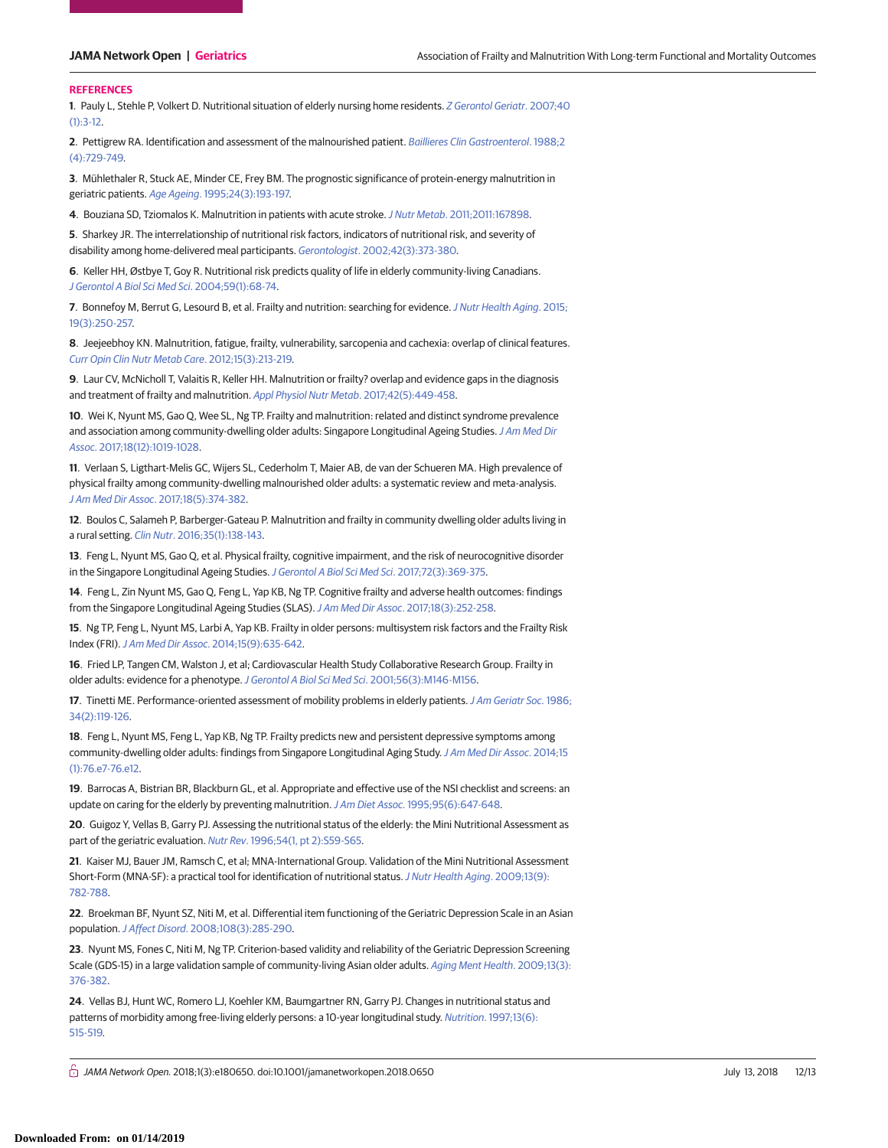#### **REFERENCES**

**1**. Pauly L, Stehle P, Volkert D. Nutritional situation of elderly nursing home residents. [Z Gerontol Geriatr](https://www.ncbi.nlm.nih.gov/pubmed/17318726). 2007;40  $(1):3-12.$ 

**2**. Pettigrew RA. Identification and assessment of the malnourished patient. [Baillieres Clin Gastroenterol](https://www.ncbi.nlm.nih.gov/pubmed/3149901). 1988;2 [\(4\):729-749.](https://www.ncbi.nlm.nih.gov/pubmed/3149901)

**3**. Mühlethaler R, Stuck AE, Minder CE, Frey BM. The prognostic significance of protein-energy malnutrition in geriatric patients. Age Ageing[. 1995;24\(3\):193-197.](https://www.ncbi.nlm.nih.gov/pubmed/7645437)

**4**. Bouziana SD, Tziomalos K. Malnutrition in patients with acute stroke.J Nutr Metab[. 2011;2011:167898.](https://www.ncbi.nlm.nih.gov/pubmed/22254136)

**5**. Sharkey JR. The interrelationship of nutritional risk factors, indicators of nutritional risk, and severity of disability among home-delivered meal participants. Gerontologist[. 2002;42\(3\):373-380.](https://www.ncbi.nlm.nih.gov/pubmed/12040139)

**6**. Keller HH, Østbye T, Goy R. Nutritional risk predicts quality of life in elderly community-living Canadians. [J Gerontol A Biol Sci Med Sci](https://www.ncbi.nlm.nih.gov/pubmed/14718488). 2004;59(1):68-74.

**7**. Bonnefoy M, Berrut G, Lesourd B, et al. Frailty and nutrition: searching for evidence.[J Nutr Health Aging](https://www.ncbi.nlm.nih.gov/pubmed/25732208). 2015; [19\(3\):250-257.](https://www.ncbi.nlm.nih.gov/pubmed/25732208)

**8**. Jeejeebhoy KN. Malnutrition, fatigue, frailty, vulnerability, sarcopenia and cachexia: overlap of clinical features. [Curr Opin Clin Nutr Metab Care](https://www.ncbi.nlm.nih.gov/pubmed/22450775). 2012;15(3):213-219.

**9**. Laur CV, McNicholl T, Valaitis R, Keller HH. Malnutrition or frailty? overlap and evidence gaps in the diagnosis and treatment of frailty and malnutrition. [Appl Physiol Nutr Metab](https://www.ncbi.nlm.nih.gov/pubmed/28322060). 2017;42(5):449-458.

**10**. Wei K, Nyunt MS, Gao Q, Wee SL, Ng TP. Frailty and malnutrition: related and distinct syndrome prevalence and association among community-dwelling older adults: Singapore Longitudinal Ageing Studies. [J Am Med Dir](https://www.ncbi.nlm.nih.gov/pubmed/28804010) Assoc[. 2017;18\(12\):1019-1028.](https://www.ncbi.nlm.nih.gov/pubmed/28804010)

**11**. Verlaan S, Ligthart-Melis GC, Wijers SL, Cederholm T, Maier AB, de van der Schueren MA. High prevalence of physical frailty among community-dwelling malnourished older adults: a systematic review and meta-analysis. J Am Med Dir Assoc[. 2017;18\(5\):374-382.](https://www.ncbi.nlm.nih.gov/pubmed/28238676)

**12**. Boulos C, Salameh P, Barberger-Gateau P. Malnutrition and frailty in community dwelling older adults living in a rural setting. Clin Nutr[. 2016;35\(1\):138-143.](https://www.ncbi.nlm.nih.gov/pubmed/25649256)

**13**. Feng L, Nyunt MS, Gao Q, et al. Physical frailty, cognitive impairment, and the risk of neurocognitive disorder in the Singapore Longitudinal Ageing Studies. [J Gerontol A Biol Sci Med Sci](https://www.ncbi.nlm.nih.gov/pubmed/27013397). 2017;72(3):369-375.

**14**. Feng L, Zin Nyunt MS, Gao Q, Feng L, Yap KB, Ng TP. Cognitive frailty and adverse health outcomes: findings from the Singapore Longitudinal Ageing Studies (SLAS). J Am Med Dir Assoc[. 2017;18\(3\):252-258.](https://www.ncbi.nlm.nih.gov/pubmed/27838339)

**15**. Ng TP, Feng L, Nyunt MS, Larbi A, Yap KB. Frailty in older persons: multisystem risk factors and the Frailty Risk Index (FRI).J Am Med Dir Assoc[. 2014;15\(9\):635-642.](https://www.ncbi.nlm.nih.gov/pubmed/24746590)

**16**. Fried LP, Tangen CM, Walston J, et al; Cardiovascular Health Study Collaborative Research Group. Frailty in older adults: evidence for a phenotype.[J Gerontol A Biol Sci Med Sci](https://www.ncbi.nlm.nih.gov/pubmed/11253156). 2001;56(3):M146-M156.

**17**. Tinetti ME. Performance-oriented assessment of mobility problems in elderly patients.[J Am Geriatr Soc](https://www.ncbi.nlm.nih.gov/pubmed/3944402). 1986; [34\(2\):119-126.](https://www.ncbi.nlm.nih.gov/pubmed/3944402)

**18**. Feng L, Nyunt MS, Feng L, Yap KB, Ng TP. Frailty predicts new and persistent depressive symptoms among community-dwelling older adults: findings from Singapore Longitudinal Aging Study.[J Am Med Dir Assoc](https://www.ncbi.nlm.nih.gov/pubmed/24314697). 2014;15 [\(1\):76.e7-76.e12.](https://www.ncbi.nlm.nih.gov/pubmed/24314697)

**19**. Barrocas A, Bistrian BR, Blackburn GL, et al. Appropriate and effective use of the NSI checklist and screens: an update on caring for the elderly by preventing malnutrition. J Am Diet Assoc[. 1995;95\(6\):647-648.](https://www.ncbi.nlm.nih.gov/pubmed/7759737)

**20**. Guigoz Y, Vellas B, Garry PJ. Assessing the nutritional status of the elderly: the Mini Nutritional Assessment as part of the geriatric evaluation. Nutr Rev[. 1996;54\(1, pt 2\):S59-S65.](https://www.ncbi.nlm.nih.gov/pubmed/8919685)

**21**. Kaiser MJ, Bauer JM, Ramsch C, et al; MNA-International Group. Validation of the Mini Nutritional Assessment Short-Form (MNA-SF): a practical tool for identification of nutritional status. [J Nutr Health Aging](https://www.ncbi.nlm.nih.gov/pubmed/19812868). 2009;13(9): [782-788.](https://www.ncbi.nlm.nih.gov/pubmed/19812868)

**22**. Broekman BF, Nyunt SZ, Niti M, et al. Differential item functioning of the Geriatric Depression Scale in an Asian population.J Affect Disord[. 2008;108\(3\):285-290.](https://www.ncbi.nlm.nih.gov/pubmed/17997490)

**23**. Nyunt MS, Fones C, Niti M, Ng TP. Criterion-based validity and reliability of the Geriatric Depression Screening Scale (GDS-15) in a large validation sample of community-living Asian older adults. [Aging Ment Health](https://www.ncbi.nlm.nih.gov/pubmed/19484601). 2009;13(3): [376-382.](https://www.ncbi.nlm.nih.gov/pubmed/19484601)

**24**. Vellas BJ, Hunt WC, Romero LJ, Koehler KM, Baumgartner RN, Garry PJ. Changes in nutritional status and patterns of morbidity among free-living elderly persons: a 10-year longitudinal study. Nutrition[. 1997;13\(6\):](https://www.ncbi.nlm.nih.gov/pubmed/9263231) [515-519.](https://www.ncbi.nlm.nih.gov/pubmed/9263231)

↑ *JAMA Network Open.* 2018;1(3):e180650. doi:10.1001/jamanetworkopen.2018.0650 July 13, 2018 12/13